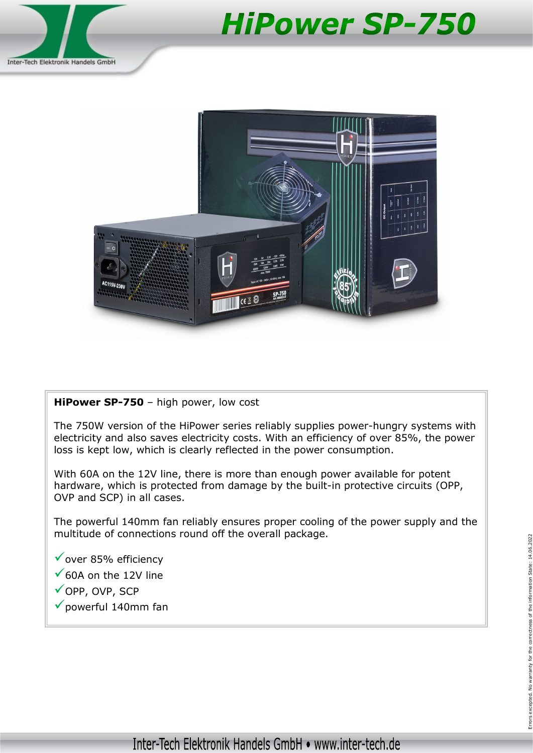

## **HiPower SP-750**



## HiPower SP-750 - high power, low cost

The 750W version of the HiPower series reliably supplies power-hungry systems with electricity and also saves electricity costs. With an efficiency of over 85%, the power loss is kept low, which is clearly reflected in the power consumption.

With 60A on the 12V line, there is more than enough power available for potent hardware, which is protected from damage by the built-in protective circuits (OPP, OVP and SCP) in all cases.

The powerful 140mm fan reliably ensures proper cooling of the power supply and the multitude of connections round off the overall package. provided of connections found off the overall package.<br>  $\checkmark$  over 85% efficiency<br>  $\checkmark$  OOP, OVP, SCP<br>  $\checkmark$  powerful 140mm fan Errors excepted.<br>  $\checkmark$  powerful 140mm fan Errors excepted.

 $\checkmark$  over 85% efficiency

- $\checkmark$  60A on the 12V line
- OPP, OVP, SCP
-